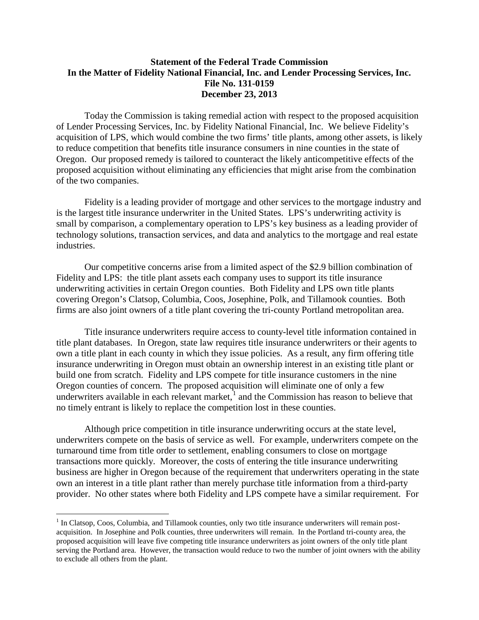## **Statement of the Federal Trade Commission In the Matter of Fidelity National Financial, Inc. and Lender Processing Services, Inc. File No. 131-0159 December 23, 2013**

Today the Commission is taking remedial action with respect to the proposed acquisition of Lender Processing Services, Inc. by Fidelity National Financial, Inc. We believe Fidelity's acquisition of LPS, which would combine the two firms' title plants, among other assets, is likely to reduce competition that benefits title insurance consumers in nine counties in the state of Oregon. Our proposed remedy is tailored to counteract the likely anticompetitive effects of the proposed acquisition without eliminating any efficiencies that might arise from the combination of the two companies.

Fidelity is a leading provider of mortgage and other services to the mortgage industry and is the largest title insurance underwriter in the United States. LPS's underwriting activity is small by comparison, a complementary operation to LPS's key business as a leading provider of technology solutions, transaction services, and data and analytics to the mortgage and real estate industries.

Our competitive concerns arise from a limited aspect of the \$2.9 billion combination of Fidelity and LPS: the title plant assets each company uses to support its title insurance underwriting activities in certain Oregon counties. Both Fidelity and LPS own title plants covering Oregon's Clatsop, Columbia, Coos, Josephine, Polk, and Tillamook counties. Both firms are also joint owners of a title plant covering the tri-county Portland metropolitan area.

Title insurance underwriters require access to county-level title information contained in title plant databases. In Oregon, state law requires title insurance underwriters or their agents to own a title plant in each county in which they issue policies. As a result, any firm offering title insurance underwriting in Oregon must obtain an ownership interest in an existing title plant or build one from scratch. Fidelity and LPS compete for title insurance customers in the nine Oregon counties of concern. The proposed acquisition will eliminate one of only a few underwriters available in each relevant market, $<sup>1</sup>$  $<sup>1</sup>$  $<sup>1</sup>$  and the Commission has reason to believe that</sup> no timely entrant is likely to replace the competition lost in these counties.

Although price competition in title insurance underwriting occurs at the state level, underwriters compete on the basis of service as well. For example, underwriters compete on the turnaround time from title order to settlement, enabling consumers to close on mortgage transactions more quickly. Moreover, the costs of entering the title insurance underwriting business are higher in Oregon because of the requirement that underwriters operating in the state own an interest in a title plant rather than merely purchase title information from a third-party provider. No other states where both Fidelity and LPS compete have a similar requirement. For

<span id="page-0-0"></span><sup>&</sup>lt;sup>1</sup> In Clatsop, Coos, Columbia, and Tillamook counties, only two title insurance underwriters will remain postacquisition. In Josephine and Polk counties, three underwriters will remain. In the Portland tri-county area, the proposed acquisition will leave five competing title insurance underwriters as joint owners of the only title plant serving the Portland area. However, the transaction would reduce to two the number of joint owners with the ability to exclude all others from the plant.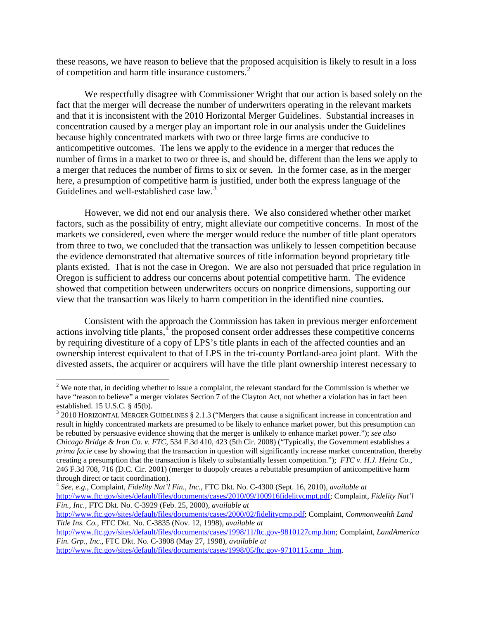these reasons, we have reason to believe that the proposed acquisition is likely to result in a loss of competition and harm title insurance customers. [2](#page-1-0)

We respectfully disagree with Commissioner Wright that our action is based solely on the fact that the merger will decrease the number of underwriters operating in the relevant markets and that it is inconsistent with the 2010 Horizontal Merger Guidelines. Substantial increases in concentration caused by a merger play an important role in our analysis under the Guidelines because highly concentrated markets with two or three large firms are conducive to anticompetitive outcomes. The lens we apply to the evidence in a merger that reduces the number of firms in a market to two or three is, and should be, different than the lens we apply to a merger that reduces the number of firms to six or seven. In the former case, as in the merger here, a presumption of competitive harm is justified, under both the express language of the Guidelines and well-established case law.<sup>[3](#page-1-1)</sup>

However, we did not end our analysis there. We also considered whether other market factors, such as the possibility of entry, might alleviate our competitive concerns. In most of the markets we considered, even where the merger would reduce the number of title plant operators from three to two, we concluded that the transaction was unlikely to lessen competition because the evidence demonstrated that alternative sources of title information beyond proprietary title plants existed. That is not the case in Oregon. We are also not persuaded that price regulation in Oregon is sufficient to address our concerns about potential competitive harm. The evidence showed that competition between underwriters occurs on nonprice dimensions, supporting our view that the transaction was likely to harm competition in the identified nine counties.

Consistent with the approach the Commission has taken in previous merger enforcement actions involving title plants,<sup>[4](#page-1-2)</sup> the proposed consent order addresses these competitive concerns by requiring divestiture of a copy of LPS's title plants in each of the affected counties and an ownership interest equivalent to that of LPS in the tri-county Portland-area joint plant. With the divested assets, the acquirer or acquirers will have the title plant ownership interest necessary to

[http://www.ftc.gov/sites/default/files/documents/cases/1998/05/ftc.gov-9710115.cmp\\_.htm.](http://www.ftc.gov/sites/default/files/documents/cases/1998/05/ftc.gov-9710115.cmp_.htm)

<span id="page-1-0"></span> $2$  We note that, in deciding whether to issue a complaint, the relevant standard for the Commission is whether we have "reason to believe" a merger violates Section 7 of the Clayton Act, not whether a violation has in fact been established. 15 U.S.C. § 45(b).<br><sup>3</sup> 2010 HORIZONTAL MERGER GUIDELINES § 2.1.3 ("Mergers that cause a significant increase in concentration and

<span id="page-1-1"></span>result in highly concentrated markets are presumed to be likely to enhance market power, but this presumption can be rebutted by persuasive evidence showing that the merger is unlikely to enhance market power."); *see also Chicago Bridge & Iron Co. v. FTC*, 534 F.3d 410, 423 (5th Cir. 2008) ("Typically, the Government establishes a *prima facie* case by showing that the transaction in question will significantly increase market concentration, thereby creating a presumption that the transaction is likely to substantially lessen competition."); *FTC v. H.J. Heinz Co.*, 246 F.3d 708, 716 (D.C. Cir. 2001) (merger to duopoly creates a rebuttable presumption of anticompetitive harm through direct or tacit coordination). 4 *See, e.g.*, Complaint, *Fidelity Nat'l Fin., Inc.*, FTC Dkt. No. C-4300 (Sept. 16, 2010), *available at*

<span id="page-1-2"></span>[http://www.ftc.gov/sites/default/files/documents/cases/2010/09/100916fidelitycmpt.pdf;](http://www.ftc.gov/sites/default/files/documents/cases/2010/09/100916fidelitycmpt.pdf) Complaint, *Fidelity Nat'l Fin., Inc.*, FTC Dkt. No. C-3929 (Feb. 25, 2000), *available at*

[http://www.ftc.gov/sites/default/files/documents/cases/2000/02/fidelitycmp.pdf;](http://www.ftc.gov/sites/default/files/documents/cases/2000/02/fidelitycmp.pdf) Complaint, *Commonwealth Land Title Ins. Co.*, FTC Dkt. No. C-3835 (Nov. 12, 1998), *available at*

[http://www.ftc.gov/sites/default/files/documents/cases/1998/11/ftc.gov-9810127cmp.htm;](http://www.ftc.gov/sites/default/files/documents/cases/1998/11/ftc.gov-9810127cmp.htm) Complaint, *LandAmerica Fin. Grp., Inc.*, FTC Dkt. No. C-3808 (May 27, 1998), *available at*